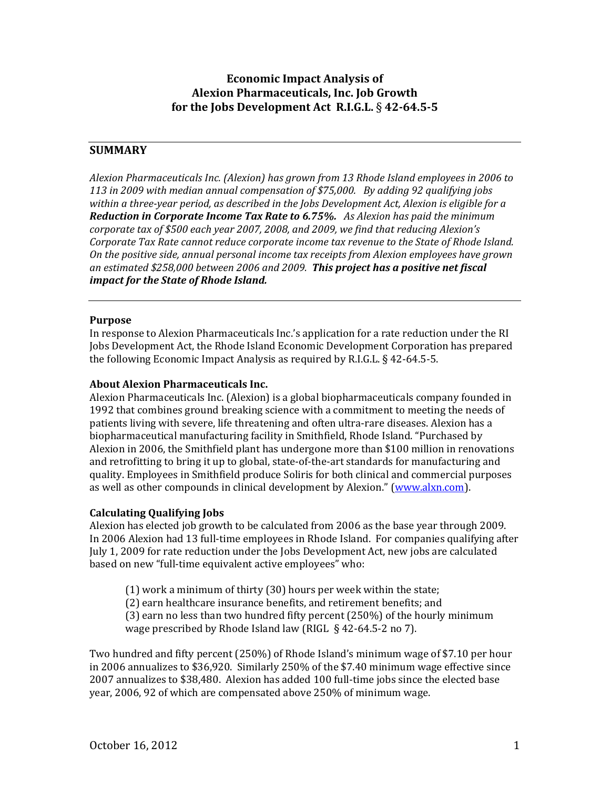# **Economic Impact Analysis of Alexion Pharmaceuticals, Inc. Job Growth for the Jobs Development Act R.I.G.L.** § **4264.55**

# **SUMMARY**

*Alexion Pharmaceuticals Inc. (Alexion) has grown from 13 Rhode Island employees in 2006 to 113 in 2009 with median annual compensation of \$75,000. By adding 92 qualifying jobs within a threeyear period, as described in the Jobs Development Act, Alexion is eligible for a Reduction in Corporate Income Tax Rate to 6.75%. As Alexion has paid the minimum corporate tax of \$500 each year 2007, 2008, and 2009, we find that reducing Alexion's Corporate Tax Rate cannot reduce corporate income tax revenue to the State of Rhode Island. On the positive side, annual personal income tax receipts from Alexion employees have grown an estimated \$258,000 between 2006 and 2009. This project has a positive net fiscal impact for the State of Rhode Island.* 

#### **Purpose**

In response to Alexion Pharmaceuticals Inc.'s application for a rate reduction under the RI Jobs Development Act, the Rhode Island Economic Development Corporation has prepared the following Economic Impact Analysis as required by R.I.G.L.  $\S$  42-64.5-5.

#### **About Alexion Pharmaceuticals Inc.**

Alexion Pharmaceuticals Inc. (Alexion) is a global biopharmaceuticals company founded in 1992 that combines ground breaking science with a commitment to meeting the needs of patients living with severe, life threatening and often ultra‐rare diseases. Alexion has a biopharmaceutical manufacturing facility in Smithfield, Rhode Island. "Purchased by Alexion in 2006, the Smithfield plant has undergone more than \$100 million in renovations and retrofitting to bring it up to global, state‐of‐the‐art standards for manufacturing and quality. Employees in Smithfield produce Soliris for both clinical and commercial purposes as well as other compounds in clinical development by Alexion." (www.alxn.com).

## **Calculating Qualifying Jobs**

Alexion has elected job growth to be calculated from 2006 as the base year through 2009. In 2006 Alexion had 13 full‐time employees in Rhode Island. For companies qualifying after July 1, 2009 for rate reduction under the Jobs Development Act, new jobs are calculated based on new "full-time equivalent active employees" who:

(1) work a minimum of thirty (30) hours per week within the state;

(2) earn healthcare insurance benefits, and retirement benefits; and

(3) earn no less than two hundred fifty percent (250%) of the hourly minimum

wage prescribed by Rhode Island law (RIGL § 42-64.5-2 no 7).

Two hundred and fifty percent (250%) of Rhode Island's minimum wage of \$7.10 per hour in 2006 annualizes to \$36,920. Similarly 250% of the \$7.40 minimum wage effective since 2007 annualizes to \$38,480. Alexion has added 100 full‐time jobs since the elected base year, 2006, 92 of which are compensated above 250% of minimum wage.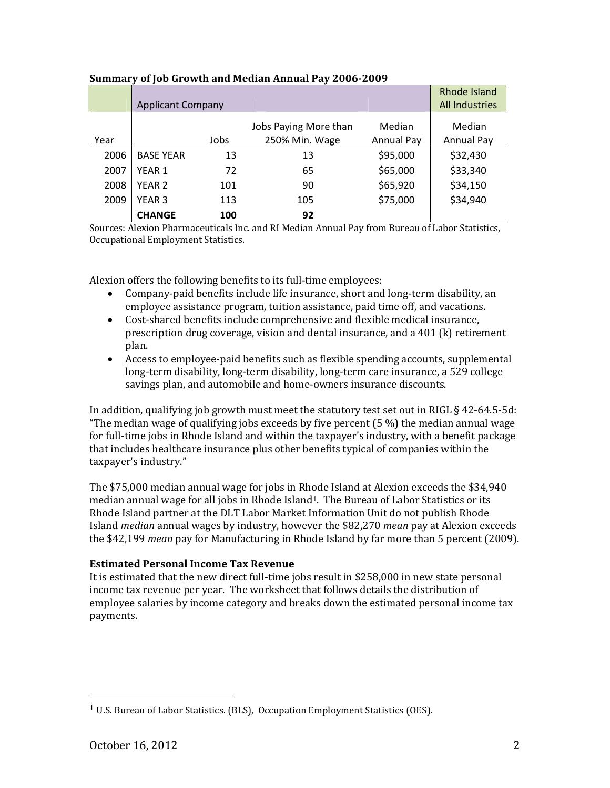|      | <b>Applicant Company</b> |      |                                         |                             | Rhode Island<br><b>All Industries</b> |
|------|--------------------------|------|-----------------------------------------|-----------------------------|---------------------------------------|
| Year |                          | Jobs | Jobs Paying More than<br>250% Min. Wage | Median<br><b>Annual Pay</b> | Median<br>Annual Pay                  |
| 2006 | <b>BASE YEAR</b>         | 13   | 13                                      | \$95,000                    | \$32,430                              |
| 2007 | YEAR 1                   | 72   | 65                                      | \$65,000                    | \$33,340                              |
| 2008 | YEAR <sub>2</sub>        | 101  | 90                                      | \$65,920                    | \$34,150                              |
| 2009 | YEAR 3                   | 113  | 105                                     | \$75,000                    | \$34,940                              |
|      | <b>CHANGE</b>            | 100  | 92                                      |                             |                                       |

#### **Summary of Job Growth and Median Annual Pay 20062009**

Sources: Alexion Pharmaceuticals Inc. and RI Median Annual Pay from Bureau of Labor Statistics, Occupational Employment Statistics.

Alexion offers the following benefits to its full-time employees:

- Company‐paid benefits include life insurance, short and long‐term disability, an employee assistance program, tuition assistance, paid time off, and vacations.
- Cost-shared benefits include comprehensive and flexible medical insurance, prescription drug coverage, vision and dental insurance, and a 401 (k) retirement plan.
- Access to employee‐paid benefits such as flexible spending accounts, supplemental long‐term disability, long‐term disability, long‐term care insurance, a 529 college savings plan, and automobile and home‐owners insurance discounts.

In addition, qualifying job growth must meet the statutory test set out in RIGL § 42‐64.5‐5d: "The median wage of qualifying jobs exceeds by five percent  $(5\%)$  the median annual wage for full-time jobs in Rhode Island and within the taxpayer's industry, with a benefit package that includes healthcare insurance plus other benefits typical of companies within the taxpayer's industry."

The \$75,000 median annual wage for jobs in Rhode Island at Alexion exceeds the \$34,940 median annual wage for all jobs in Rhode Island<sup>1</sup>. The Bureau of Labor Statistics or its Rhode Island partner at the DLT Labor Market Information Unit do not publish Rhode Island *median* annual wages by industry, however the \$82,270 *mean* pay at Alexion exceeds the \$42,199 *mean* pay for Manufacturing in Rhode Island by far more than 5 percent (2009).

## **Estimated Personal Income Tax Revenue**

It is estimated that the new direct full-time jobs result in \$258,000 in new state personal income tax revenue per year. The worksheet that follows details the distribution of employee salaries by income category and breaks down the estimated personal income tax payments.

<sup>&</sup>lt;sup>1</sup> U.S. Bureau of Labor Statistics. (BLS), Occupation Employment Statistics (OES).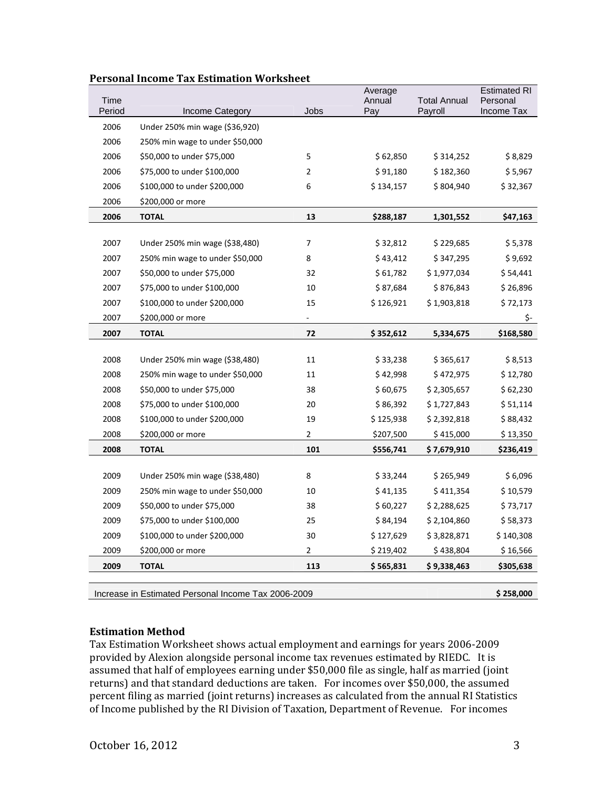| Time   |                                 |                | Average<br>Annual | <b>Total Annual</b> | <b>Estimated RI</b><br>Personal |
|--------|---------------------------------|----------------|-------------------|---------------------|---------------------------------|
| Period | Income Category                 | Jobs           | Pay               | Payroll             | Income Tax                      |
| 2006   | Under 250% min wage (\$36,920)  |                |                   |                     |                                 |
| 2006   | 250% min wage to under \$50,000 |                |                   |                     |                                 |
| 2006   | \$50,000 to under \$75,000      | 5              | \$62,850          | \$314,252           | \$8,829                         |
| 2006   | \$75,000 to under \$100,000     | $\overline{2}$ | \$91,180          | \$182,360           | \$5,967                         |
| 2006   | \$100,000 to under \$200,000    | 6              | \$134,157         | \$804,940           | \$32,367                        |
| 2006   | \$200,000 or more               |                |                   |                     |                                 |
| 2006   | <b>TOTAL</b>                    | 13             | \$288,187         | 1,301,552           | \$47,163                        |
|        |                                 |                |                   |                     |                                 |
| 2007   | Under 250% min wage (\$38,480)  | 7              | \$32,812          | \$229,685           | \$5,378                         |
| 2007   | 250% min wage to under \$50,000 | 8              | \$43,412          | \$347,295           | \$9,692                         |
| 2007   | \$50,000 to under \$75,000      | 32             | \$61,782          | \$1,977,034         | \$54,441                        |
| 2007   | \$75,000 to under \$100,000     | 10             | \$87,684          | \$876,843           | \$26,896                        |
| 2007   | \$100,000 to under \$200,000    | 15             | \$126,921         | \$1,903,818         | \$72,173                        |
| 2007   | \$200,000 or more               |                |                   |                     | \$-                             |
| 2007   | <b>TOTAL</b>                    | 72             | \$352,612         | 5,334,675           | \$168,580                       |
|        |                                 |                |                   |                     |                                 |
| 2008   | Under 250% min wage (\$38,480)  | 11             | \$33,238          | \$365,617           | \$8,513                         |
| 2008   | 250% min wage to under \$50,000 | 11             | \$42,998          | \$472,975           | \$12,780                        |
| 2008   | \$50,000 to under \$75,000      | 38             | \$60,675          | \$2,305,657         | \$62,230                        |
| 2008   | \$75,000 to under \$100,000     | 20             | \$86,392          | \$1,727,843         | \$51,114                        |
| 2008   | \$100,000 to under \$200,000    | 19             | \$125,938         | \$2,392,818         | \$88,432                        |
| 2008   | \$200,000 or more               | 2              | \$207,500         | \$415,000           | \$13,350                        |
| 2008   | <b>TOTAL</b>                    | 101            | \$556,741         | \$ 7,679,910        | \$236,419                       |
|        |                                 |                |                   |                     |                                 |
| 2009   | Under 250% min wage (\$38,480)  | 8              | \$33,244          | \$265,949           | \$6,096                         |
| 2009   | 250% min wage to under \$50,000 | 10             | \$41,135          | \$411,354           | \$10,579                        |
| 2009   | \$50,000 to under \$75,000      | 38             | \$60,227          | \$2,288,625         | \$73,717                        |
| 2009   | \$75,000 to under \$100,000     | 25             | \$84,194          | \$2,104,860         | \$58,373                        |
| 2009   | \$100,000 to under \$200,000    | 30             | \$127,629         | \$3,828,871         | \$140,308                       |
| 2009   | \$200,000 or more               | 2              | \$219,402         | \$438,804           | \$16,566                        |
| 2009   | <b>TOTAL</b>                    | 113            | \$565,831         | \$9,338,463         | \$305,638                       |
|        |                                 |                |                   |                     |                                 |

#### **Personal Income Tax Estimation Worksheet**

Increase in Estimated Personal Income Tax 2006-2009 **\$ 258,000**

## **Estimation Method**

Tax Estimation Worksheet shows actual employment and earnings for years 2006‐2009 provided by Alexion alongside personal income tax revenues estimated by RIEDC. It is assumed that half of employees earning under \$50,000 file as single, half as married (joint returns) and that standard deductions are taken. For incomes over \$50,000, the assumed percent filing as married (joint returns) increases as calculated from the annual RI Statistics of Income published by the RI Division of Taxation, Department of Revenue. For incomes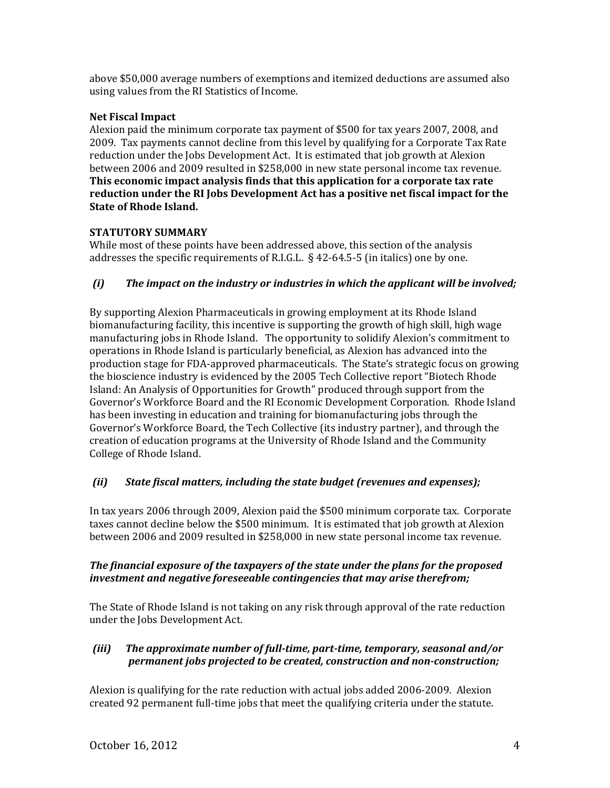above \$50,000 average numbers of exemptions and itemized deductions are assumed also using values from the RI Statistics of Income.

# **Net Fiscal Impact**

Alexion paid the minimum corporate tax payment of \$500 for tax years 2007, 2008, and 2009. Tax payments cannot decline from this level by qualifying for a Corporate Tax Rate reduction under the Jobs Development Act. It is estimated that job growth at Alexion between 2006 and 2009 resulted in \$258,000 in new state personal income tax revenue. **This economic impact analysis finds that this application for a corporate tax rate reduction under the RI Jobs Development Act has a positive net fiscal impact for the State of Rhode Island.** 

# **STATUTORY SUMMARY**

While most of these points have been addressed above, this section of the analysis addresses the specific requirements of R.I.G.L. § 42‐64.5‐5 (in italics) one by one.

# *(i) The impact on the industry or industries in which the applicant will be involved;*

By supporting Alexion Pharmaceuticals in growing employment at its Rhode Island biomanufacturing facility, this incentive is supporting the growth of high skill, high wage manufacturing jobs in Rhode Island. The opportunity to solidify Alexion's commitment to operations in Rhode Island is particularly beneficial, as Alexion has advanced into the production stage for FDA‐approved pharmaceuticals. The State's strategic focus on growing the bioscience industry is evidenced by the 2005 Tech Collective report "Biotech Rhode Island: An Analysis of Opportunities for Growth" produced through support from the Governor's Workforce Board and the RI Economic Development Corporation. Rhode Island has been investing in education and training for biomanufacturing jobs through the Governor's Workforce Board, the Tech Collective (its industry partner), and through the creation of education programs at the University of Rhode Island and the Community College of Rhode Island.

# *(ii) State fiscal matters, including the state budget (revenues and expenses);*

In tax years 2006 through 2009, Alexion paid the \$500 minimum corporate tax. Corporate taxes cannot decline below the \$500 minimum. It is estimated that job growth at Alexion between 2006 and 2009 resulted in \$258,000 in new state personal income tax revenue.

## *The financial exposure of the taxpayers of the state under the plans for the proposed investment and negative foreseeable contingencies that may arise therefrom;*

The State of Rhode Island is not taking on any risk through approval of the rate reduction under the Jobs Development Act.

## *(iii) The approximate number of fulltime, parttime, temporary, seasonal and/or permanent jobs projected to be created, construction and nonconstruction;*

Alexion is qualifying for the rate reduction with actual jobs added 2006‐2009. Alexion created 92 permanent full‐time jobs that meet the qualifying criteria under the statute.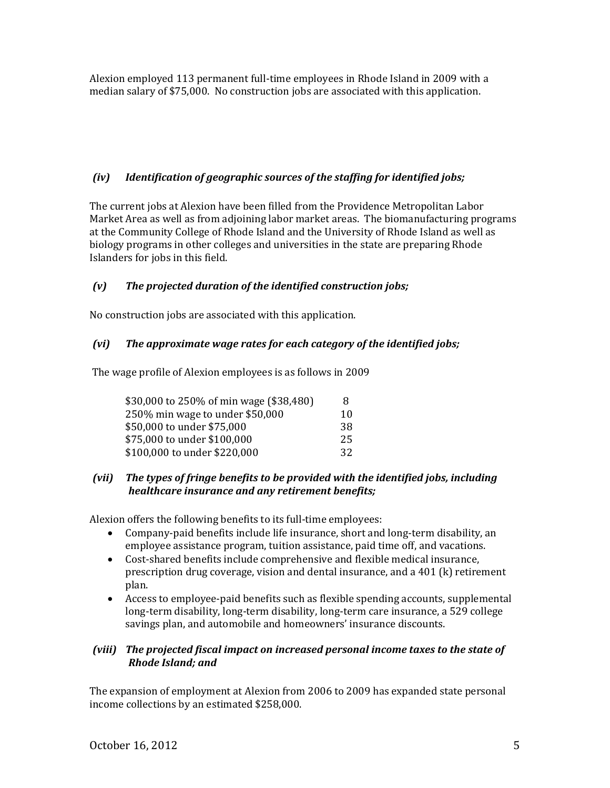Alexion employed 113 permanent full‐time employees in Rhode Island in 2009 with a median salary of \$75,000. No construction jobs are associated with this application.

# *(iv) Identification of geographic sources of the staffing for identified jobs;*

The current jobs at Alexion have been filled from the Providence Metropolitan Labor Market Area as well as from adjoining labor market areas. The biomanufacturing programs at the Community College of Rhode Island and the University of Rhode Island as well as biology programs in other colleges and universities in the state are preparing Rhode Islanders for jobs in this field.

# *(v) The projected duration of the identified construction jobs;*

No construction jobs are associated with this application.

# *(vi) The approximate wage rates for each category of the identified jobs;*

The wage profile of Alexion employees is as follows in 2009

| \$30,000 to 250% of min wage (\$38,480) | 8  |
|-----------------------------------------|----|
| 250% min wage to under \$50,000         | 10 |
| \$50,000 to under \$75,000              | 38 |
| \$75,000 to under \$100,000             | 25 |
| \$100,000 to under \$220,000            | 32 |

## *(vii) The types of fringe benefits to be provided with the identified jobs, including healthcare insurance and any retirement benefits;*

Alexion offers the following benefits to its full-time employees:

- Company‐paid benefits include life insurance, short and long‐term disability, an employee assistance program, tuition assistance, paid time off, and vacations.
- Cost-shared benefits include comprehensive and flexible medical insurance, prescription drug coverage, vision and dental insurance, and a 401 (k) retirement plan.
- Access to employee‐paid benefits such as flexible spending accounts, supplemental long‐term disability, long‐term disability, long‐term care insurance, a 529 college savings plan, and automobile and homeowners' insurance discounts.

## *(viii) The projected fiscal impact on increased personal income taxes to the state of Rhode Island; and*

The expansion of employment at Alexion from 2006 to 2009 has expanded state personal income collections by an estimated \$258,000.